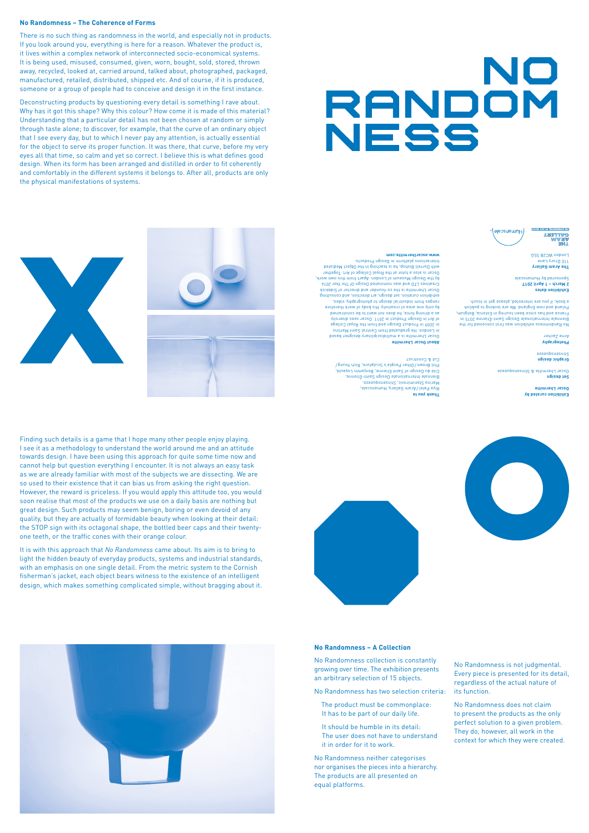**Exhibition curated by Oscar Lhermitte**



**Graphic design**  azaanbsuasung

**Set design** Oscar Lhermitte & Stinsensqueeze

**Photography**  Arne Zacher

**Exhibition dates 2 March – 1 April 2017** Sponsored by Humanscale

**Thank you to** Aram Gallery, Humanscale, / Riya Patel Marina Stanimirovic, Stinsensqueeze, Biennale Internationale Design Saint-Étienne, Cité du Design of Saint Etienne, Benjamin Loyauté, Phil Brown/Uther People's Sculpture, Rich Young/





No Randomness exhibition was first conceived for the Biennale Internationale Design Saint-Étienne 2015 in France and has since been touring in Estonia, Belgium, Poland and how England. We are looking to publish a book, if you are interested, please get in touch.

**The Aram Gallery** 110 Drury Lane London WC2B 5SG

**CALLLERY**<br>ARAM **ENGE** 

#### Cut & Construct

**About Oscar Lhermitte** Oscar Lhermitte is a multidisciplinary designer based in London. He graduated from Central Saint Martins in 2009 in Product Design and from the Royal College of Art in Design Product in 2011. Oscar sees diversity as a driving force, he does not want to be constrained by only one area of creativity. His body of work therefore ranges from industrial design to photography, video, exhibition curation, set design, art direction, and consulting. Oscar Lhermitte is the co-founder and director of Sidekick Creatives LID and was nominated Design Ut The Year ZUT4 by the Design Museum of London. Apart from this own work, Oscar is also a tutor at the Royal College of Art. Together with Durrell Bishop, he is teaching in the Object Mediated Interactions platform in Design Products.

#### **www.oscarlhermitte.com**

## **No Randomness – A Collection**

No Randomness collection is constantly growing over time. The exhibition presents an arbitrary selection of 15 objects.

No Randomness has two selection criteria:

 The product must be commonplace: It has to be part of our daily life.

It should be humble in its detail: The user does not have to understand it in order for it to work.

No Randomness neither categorises nor organises the pieces into a hierarchy. The products are all presented on equal platforms.

No Randomness is not judgmental. Every piece is presented for its detail, regardless of the actual nature of its function.

No Randomness does not claim to present the products as the only perfect solution to a given problem. They do, however, all work in the context for which they were created.

Finding such details is a game that I hope many other people enjoy playing. I see it as a methodology to understand the world around me and an attitude towards design. I have been using this approach for quite some time now and cannot help but question everything I encounter. It is not always an easy task as we are already familiar with most of the subjects we are dissecting. We are so used to their existence that it can bias us from asking the right question. However, the reward is priceless. If you would apply this attitude too, you would soon realise that most of the products we use on a daily basis are nothing but great design. Such products may seem benign, boring or even devoid of any quality, but they are actually of formidable beauty when looking at their detail: the STOP sign with its octagonal shape, the bottled beer caps and their twentyone teeth, or the traffic cones with their orange colour.

It is with this approach that *No Randomness* came about. Its aim is to bring to light the hidden beauty of everyday products, systems and industrial standards, with an emphasis on one single detail. From the metric system to the Cornish fisherman's jacket, each object bears witness to the existence of an intelligent design, which makes something complicated simple, without bragging about it.





### **No Randomness – The Coherence of Forms**

There is no such thing as randomness in the world, and especially not in products. If you look around you, everything is here for a reason. Whatever the product is, it lives within a complex network of interconnected socio-economical systems. It is being used, misused, consumed, given, worn, bought, sold, stored, thrown away, recycled, looked at, carried around, talked about, photographed, packaged, manufactured, retailed, distributed, shipped etc. And of course, if it is produced, someone or a group of people had to conceive and design it in the first instance.

Deconstructing products by questioning every detail is something I rave about. Why has it got this shape? Why this colour? How come it is made of this material? Understanding that a particular detail has not been chosen at random or simply through taste alone; to discover, for example, that the curve of an ordinary object that I see every day, but to which I never pay any attention, is actually essential for the object to serve its proper function. It was there, that curve, before my very eyes all that time, so calm and yet so correct. I believe this is what defines good design. When its form has been arranged and distilled in order to fit coherently and comfortably in the different systems it belongs to. After all, products are only the physical manifestations of systems.

# NO RANDOM NESS

# Humanscale